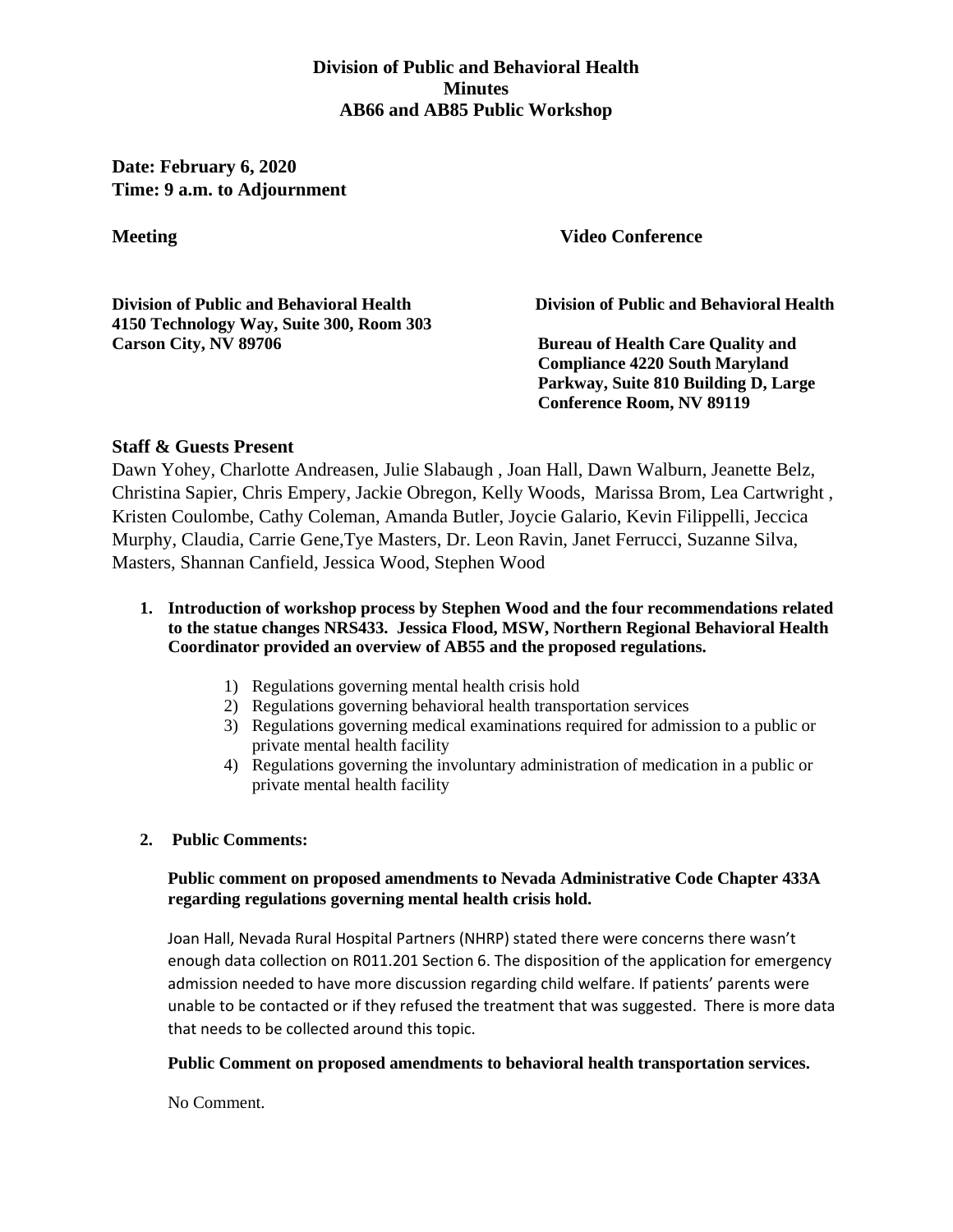# **Division of Public and Behavioral Health Minutes AB66 and AB85 Public Workshop**

**Date: February 6, 2020 Time: 9 a.m. to Adjournment** 

**Meeting Wideo Conference** 

**Division of Public and Behavioral Health Division of Public and Behavioral Health 4150 Technology Way, Suite 300, Room 303 Carson City, NV 89706 8 8 Bureau of Health Care Quality and** 

**Compliance 4220 South Maryland Parkway, Suite 810 Building D, Large Conference Room, NV 89119** 

# **Staff & Guests Present**

Dawn Yohey, Charlotte Andreasen, Julie Slabaugh , Joan Hall, Dawn Walburn, Jeanette Belz, Christina Sapier, Chris Empery, Jackie Obregon, Kelly Woods, Marissa Brom, Lea Cartwright , Kristen Coulombe, Cathy Coleman, Amanda Butler, Joycie Galario, Kevin Filippelli, Jeccica Murphy, Claudia, Carrie Gene,Tye Masters, Dr. Leon Ravin, Janet Ferrucci, Suzanne Silva, Masters, Shannan Canfield, Jessica Wood, Stephen Wood

#### **1. Introduction of workshop process by Stephen Wood and the four recommendations related to the statue changes NRS433. Jessica Flood, MSW, Northern Regional Behavioral Health Coordinator provided an overview of AB55 and the proposed regulations.**

- 1) Regulations governing mental health crisis hold
- 2) Regulations governing behavioral health transportation services
- 3) Regulations governing medical examinations required for admission to a public or private mental health facility
- 4) Regulations governing the involuntary administration of medication in a public or private mental health facility

## **2. Public Comments:**

## **Public comment on proposed amendments to Nevada Administrative Code Chapter 433A regarding regulations governing mental health crisis hold.**

Joan Hall, Nevada Rural Hospital Partners (NHRP) stated there were concerns there wasn't enough data collection on R011.201 Section 6. The disposition of the application for emergency admission needed to have more discussion regarding child welfare. If patients' parents were unable to be contacted or if they refused the treatment that was suggested. There is more data that needs to be collected around this topic.

## **Public Comment on proposed amendments to behavioral health transportation services.**

No Comment.